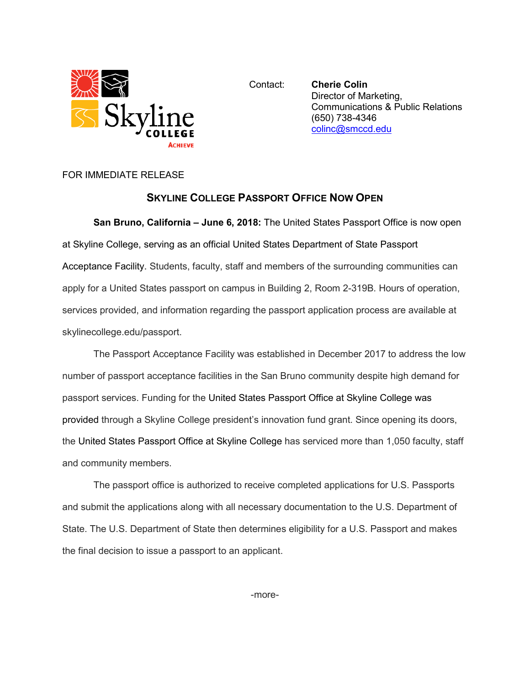

Contact: **Cherie Colin** Director of Marketing, Communications & Public Relations (650) 738-4346 [colinc@smccd.edu](mailto:colinc@smccd.edu)

## FOR IMMEDIATE RELEASE

## **SKYLINE COLLEGE PASSPORT OFFICE NOW OPEN**

**San Bruno, California – June 6, 2018:** The United States Passport Office is now open at Skyline College, serving as an official United States Department of State Passport Acceptance Facility. Students, faculty, staff and members of the surrounding communities can apply for a United States passport on campus in Building 2, Room 2-319B. Hours of operation, services provided, and information regarding the passport application process are available at skylinecollege.edu/passport.

The Passport Acceptance Facility was established in December 2017 to address the low number of passport acceptance facilities in the San Bruno community despite high demand for passport services. Funding for the United States Passport Office at Skyline College was provided through a Skyline College president's innovation fund grant. Since opening its doors, the United States Passport Office at Skyline College has serviced more than 1,050 faculty, staff and community members.

The passport office is authorized to receive completed applications for U.S. Passports and submit the applications along with all necessary documentation to the U.S. Department of State. The U.S. Department of State then determines eligibility for a U.S. Passport and makes the final decision to issue a passport to an applicant.

-more-